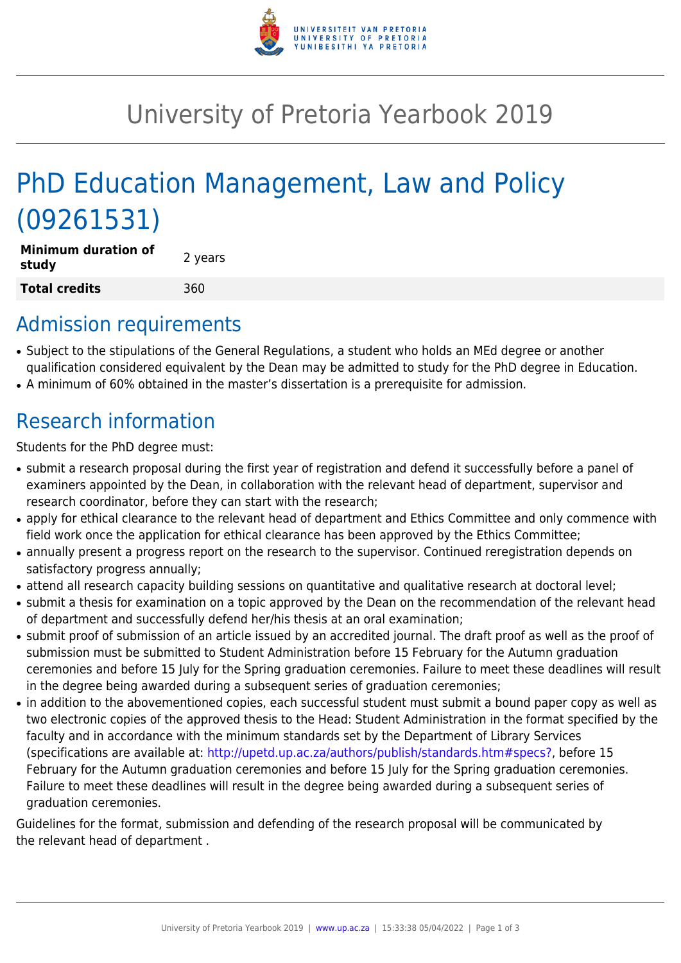

## University of Pretoria Yearbook 2019

# PhD Education Management, Law and Policy (09261531)

| <b>Minimum duration of</b><br>study | 2 years |
|-------------------------------------|---------|
| Total credits                       | 360     |

### Admission requirements

- Subject to the stipulations of the General Regulations, a student who holds an MEd degree or another qualification considered equivalent by the Dean may be admitted to study for the PhD degree in Education.
- A minimum of 60% obtained in the master's dissertation is a prerequisite for admission.

## Research information

Students for the PhD degree must:

- submit a research proposal during the first year of registration and defend it successfully before a panel of examiners appointed by the Dean, in collaboration with the relevant head of department, supervisor and research coordinator, before they can start with the research;
- apply for ethical clearance to the relevant head of department and Ethics Committee and only commence with field work once the application for ethical clearance has been approved by the Ethics Committee;
- annually present a progress report on the research to the supervisor. Continued reregistration depends on satisfactory progress annually;
- attend all research capacity building sessions on quantitative and qualitative research at doctoral level;
- submit a thesis for examination on a topic approved by the Dean on the recommendation of the relevant head of department and successfully defend her/his thesis at an oral examination;
- submit proof of submission of an article issued by an accredited journal. The draft proof as well as the proof of submission must be submitted to Student Administration before 15 February for the Autumn graduation ceremonies and before 15 July for the Spring graduation ceremonies. Failure to meet these deadlines will result in the degree being awarded during a subsequent series of graduation ceremonies;
- in addition to the abovementioned copies, each successful student must submit a bound paper copy as well as two electronic copies of the approved thesis to the Head: Student Administration in the format specified by the faculty and in accordance with the minimum standards set by the Department of Library Services (specifications are available at: [http://upetd.up.ac.za/authors/publish/standards.htm#specs?,](http://upetd.up.ac.za/authors/publish/standards.htm#specs) before 15 February for the Autumn graduation ceremonies and before 15 July for the Spring graduation ceremonies. Failure to meet these deadlines will result in the degree being awarded during a subsequent series of graduation ceremonies.

Guidelines for the format, submission and defending of the research proposal will be communicated by the relevant head of department .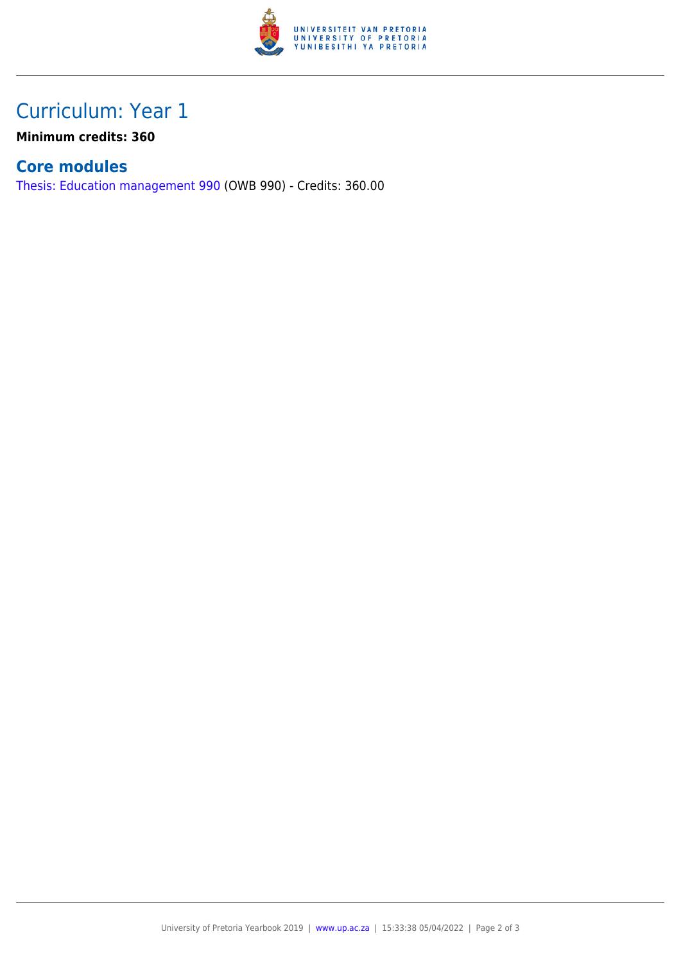

### Curriculum: Year 1

**Minimum credits: 360**

#### **Core modules**

[Thesis: Education management 990](https://www.up.ac.za/faculty-of-education/yearbooks/2019/modules/view/OWB 990) (OWB 990) - Credits: 360.00